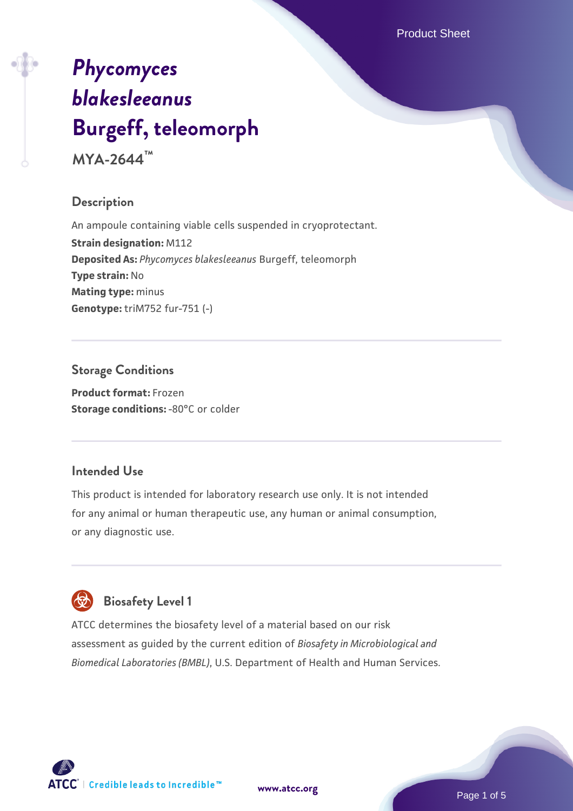Product Sheet

# *[Phycomyces](https://www.atcc.org/products/mya-2644) [blakesleeanus](https://www.atcc.org/products/mya-2644)* **[Burgeff, teleomorph](https://www.atcc.org/products/mya-2644)**

**MYA-2644™**

#### **Description**

An ampoule containing viable cells suspended in cryoprotectant. **Strain designation:** M112 **Deposited As:** *Phycomyces blakesleeanus* Burgeff, teleomorph **Type strain:** No **Mating type:** minus **Genotype:** triM752 fur-751 (-)

## **Storage Conditions**

**Product format:** Frozen **Storage conditions: -80°C or colder** 

#### **Intended Use**

This product is intended for laboratory research use only. It is not intended for any animal or human therapeutic use, any human or animal consumption, or any diagnostic use.

# **Biosafety Level 1**

ATCC determines the biosafety level of a material based on our risk assessment as guided by the current edition of *Biosafety in Microbiological and Biomedical Laboratories (BMBL)*, U.S. Department of Health and Human Services.

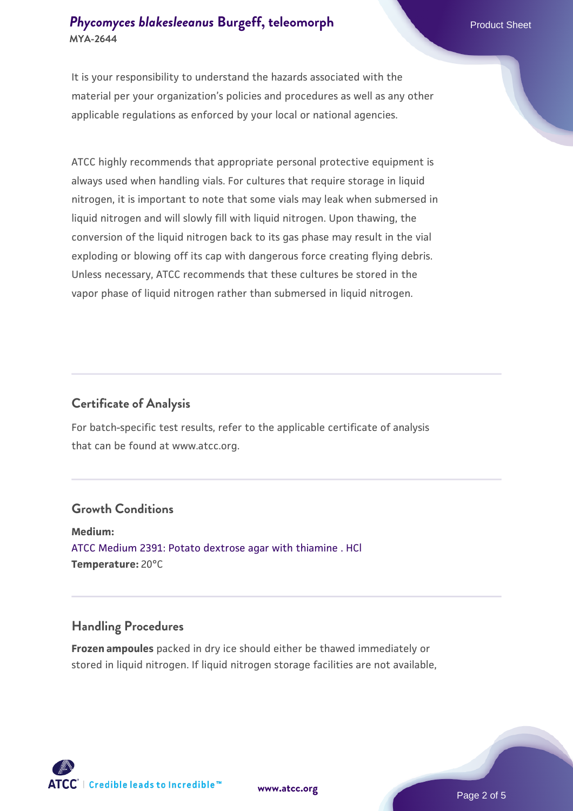#### **[Phycomyces blakesleeanus](https://www.atcc.org/products/mya-2644) [Burgeff, teleomorph](https://www.atcc.org/products/mya-2644)** Product Sheet **MYA-2644**

It is your responsibility to understand the hazards associated with the material per your organization's policies and procedures as well as any other applicable regulations as enforced by your local or national agencies.

ATCC highly recommends that appropriate personal protective equipment is always used when handling vials. For cultures that require storage in liquid nitrogen, it is important to note that some vials may leak when submersed in liquid nitrogen and will slowly fill with liquid nitrogen. Upon thawing, the conversion of the liquid nitrogen back to its gas phase may result in the vial exploding or blowing off its cap with dangerous force creating flying debris. Unless necessary, ATCC recommends that these cultures be stored in the vapor phase of liquid nitrogen rather than submersed in liquid nitrogen.

#### **Certificate of Analysis**

For batch-specific test results, refer to the applicable certificate of analysis that can be found at www.atcc.org.

#### **Growth Conditions**

**Medium:**  [ATCC Medium 2391: Potato dextrose agar with thiamine . HCl](https://www.atcc.org/-/media/product-assets/documents/microbial-media-formulations/3/9/1/atcc-medium-2391.pdf?rev=3328596f347e41459ec08e8bc5fafdc3) **Temperature:** 20°C

#### **Handling Procedures**

**Frozen ampoules** packed in dry ice should either be thawed immediately or stored in liquid nitrogen. If liquid nitrogen storage facilities are not available,

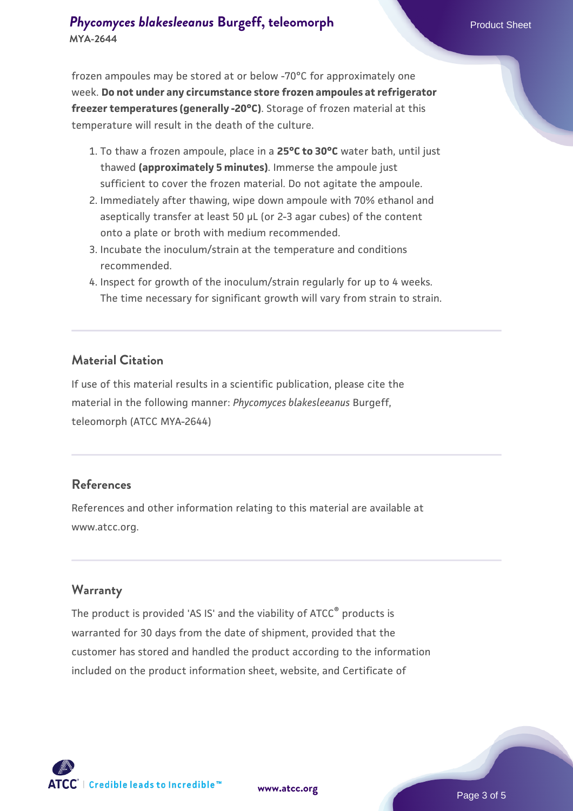#### **[Phycomyces blakesleeanus](https://www.atcc.org/products/mya-2644) [Burgeff, teleomorph](https://www.atcc.org/products/mya-2644)** Product Sheet **MYA-2644**

frozen ampoules may be stored at or below -70°C for approximately one week. **Do not under any circumstance store frozen ampoules at refrigerator freezer temperatures (generally -20°C)**. Storage of frozen material at this temperature will result in the death of the culture.

- 1. To thaw a frozen ampoule, place in a **25°C to 30°C** water bath, until just thawed **(approximately 5 minutes)**. Immerse the ampoule just sufficient to cover the frozen material. Do not agitate the ampoule.
- 2. Immediately after thawing, wipe down ampoule with 70% ethanol and aseptically transfer at least 50 µL (or 2-3 agar cubes) of the content onto a plate or broth with medium recommended.
- 3. Incubate the inoculum/strain at the temperature and conditions recommended.
- 4. Inspect for growth of the inoculum/strain regularly for up to 4 weeks. The time necessary for significant growth will vary from strain to strain.

#### **Material Citation**

If use of this material results in a scientific publication, please cite the material in the following manner: *Phycomyces blakesleeanus* Burgeff, teleomorph (ATCC MYA-2644)

#### **References**

References and other information relating to this material are available at www.atcc.org.

#### **Warranty**

The product is provided 'AS IS' and the viability of ATCC® products is warranted for 30 days from the date of shipment, provided that the customer has stored and handled the product according to the information included on the product information sheet, website, and Certificate of

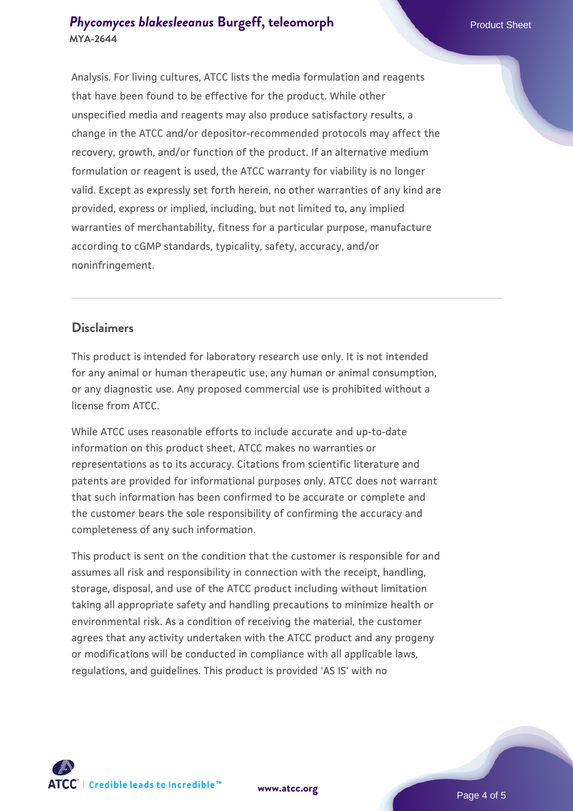#### **[Phycomyces blakesleeanus](https://www.atcc.org/products/mya-2644) [Burgeff, teleomorph](https://www.atcc.org/products/mya-2644)** Product Sheet **MYA-2644**

Analysis. For living cultures, ATCC lists the media formulation and reagents that have been found to be effective for the product. While other unspecified media and reagents may also produce satisfactory results, a change in the ATCC and/or depositor-recommended protocols may affect the recovery, growth, and/or function of the product. If an alternative medium formulation or reagent is used, the ATCC warranty for viability is no longer valid. Except as expressly set forth herein, no other warranties of any kind are provided, express or implied, including, but not limited to, any implied warranties of merchantability, fitness for a particular purpose, manufacture according to cGMP standards, typicality, safety, accuracy, and/or noninfringement.

#### **Disclaimers**

This product is intended for laboratory research use only. It is not intended for any animal or human therapeutic use, any human or animal consumption, or any diagnostic use. Any proposed commercial use is prohibited without a license from ATCC.

While ATCC uses reasonable efforts to include accurate and up-to-date information on this product sheet, ATCC makes no warranties or representations as to its accuracy. Citations from scientific literature and patents are provided for informational purposes only. ATCC does not warrant that such information has been confirmed to be accurate or complete and the customer bears the sole responsibility of confirming the accuracy and completeness of any such information.

This product is sent on the condition that the customer is responsible for and assumes all risk and responsibility in connection with the receipt, handling, storage, disposal, and use of the ATCC product including without limitation taking all appropriate safety and handling precautions to minimize health or environmental risk. As a condition of receiving the material, the customer agrees that any activity undertaken with the ATCC product and any progeny or modifications will be conducted in compliance with all applicable laws, regulations, and guidelines. This product is provided 'AS IS' with no



**[www.atcc.org](http://www.atcc.org)**

Page 4 of 5